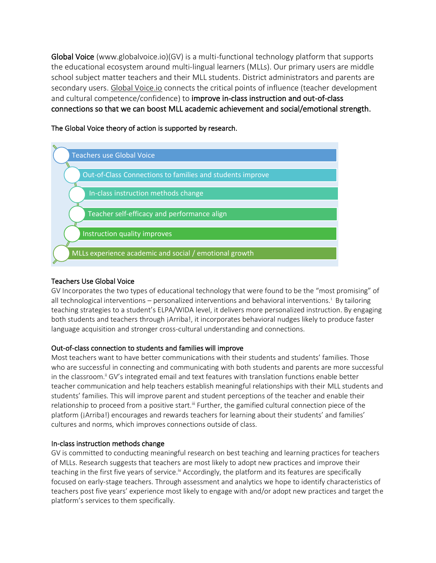Global Voice (www.globalvoice.io)(GV) is a multi-functional technology platform that supports the educational ecosystem around multi-lingual learners (MLLs). Our primary users are middle school subject matter teachers and their MLL students. District administrators and parents are secondary users. [Global Voice.io](https://www.globalvoice.io/) connects the critical points of influence (teacher development and cultural competence/confidence) to improve in-class instruction and out-of-class connections so that we can boost MLL academic achievement and social/emotional strength.

Teachers use Global Voice Out-of-Class Connections to families and students improve In-class instruction methods change Teacher self-efficacy and performance align Instruction quality improves MLLs experience academic and social / emotional growth

The Global Voice theory of action is supported by research.

# Teachers Use Global Voice

GV Incorporates the two types of educational technology that were found to be the "most promising" of all technological interventions – personalized interventions and behavioral interventions.<sup>i</sup> By tailoring teaching strategies to a student's ELPA/WIDA level, it delivers more personalized instruction. By engaging both students and teachers through ¡Arriba!, it incorporates behavioral nudges likely to produce faster language acquisition and stronger cross-cultural understanding and connections.

# Out-of-class connection to students and families will improve

Most teachers want to have better communications with their students and students' families. Those who are successful in connecting and communicating with both students and parents are more successful in the classroom.<sup>ii</sup> GV's integrated email and text features with translation functions enable better teacher communication and help teachers establish meaningful relationships with their MLL students and students' families. This will improve parent and student perceptions of the teacher and enable their relationship to proceed from a positive start.<sup>ii</sup> Further, the gamified cultural connection piece of the platform (¡Arriba!) encourages and rewards teachers for learning about their students' and families' cultures and norms, which improves connections outside of class.

## In-class instruction methods change

GV is committed to conducting meaningful research on best teaching and learning practices for teachers of MLLs. Research suggests that teachers are most likely to adopt new practices and improve their teaching in the first five years of service.<sup>iv</sup> Accordingly, the platform and its features are specifically focused on early-stage teachers. Through assessment and analytics we hope to identify characteristics of teachers post five years' experience most likely to engage with and/or adopt new practices and target the platform's services to them specifically.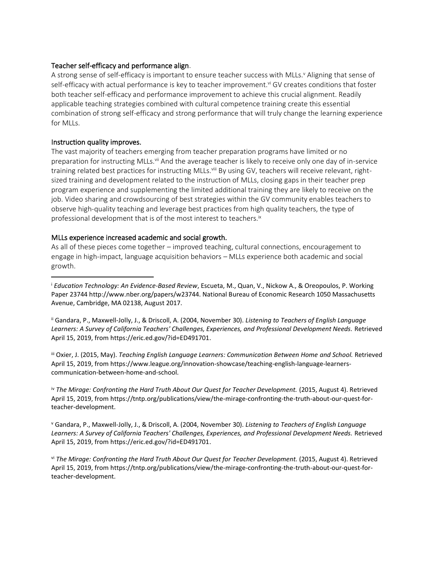## Teacher self-efficacy and performance align.

A strong sense of self-efficacy is important to ensure teacher success with MLLs.<sup>v</sup> Aligning that sense of self-efficacy with actual performance is key to teacher improvement.<sup>vi</sup> GV creates conditions that foster both teacher self-efficacy and performance improvement to achieve this crucial alignment. Readily applicable teaching strategies combined with cultural competence training create this essential combination of strong self-efficacy and strong performance that will truly change the learning experience for MLLs.

## Instruction quality improves.

The vast majority of teachers emerging from teacher preparation programs have limited or no preparation for instructing MLLs.<sup>vii</sup> And the average teacher is likely to receive only one day of in-service training related best practices for instructing MLLs.<sup>viii</sup> By using GV, teachers will receive relevant, rightsized training and development related to the instruction of MLLs, closing gaps in their teacher prep program experience and supplementing the limited additional training they are likely to receive on the job. Video sharing and crowdsourcing of best strategies within the GV community enables teachers to observe high-quality teaching and leverage best practices from high quality teachers, the type of professional development that is of the most interest to teachers.ix

# MLLs experience increased academic and social growth.

As all of these pieces come together – improved teaching, cultural connections, encouragement to engage in high-impact, language acquisition behaviors – MLLs experience both academic and social growth.

ii Gandara, P., Maxwell-Jolly, J., & Driscoll, A. (2004, November 30). *Listening to Teachers of English Language Learners: A Survey of California Teachers' Challenges, Experiences, and Professional Development Needs.* Retrieved April 15, 2019, from https://eric.ed.gov/?id=ED491701.

iii Oxier, J. (2015, May). *Teaching English Language Learners: Communication Between Home and School.* Retrieved April 15, 2019, from https://www.league.org/innovation-showcase/teaching-english-language-learnerscommunication-between-home-and-school.

iv *The Mirage: Confronting the Hard Truth About Our Quest for Teacher Development.* (2015, August 4). Retrieved April 15, 2019, from https://tntp.org/publications/view/the-mirage-confronting-the-truth-about-our-quest-forteacher-development.

<sup>v</sup> Gandara, P., Maxwell-Jolly, J., & Driscoll, A. (2004, November 30). *Listening to Teachers of English Language Learners: A Survey of California Teachers' Challenges, Experiences, and Professional Development Needs.* Retrieved April 15, 2019, from https://eric.ed.gov/?id=ED491701.

vi *The Mirage: Confronting the Hard Truth About Our Quest for Teacher Development.* (2015, August 4). Retrieved April 15, 2019, from https://tntp.org/publications/view/the-mirage-confronting-the-truth-about-our-quest-forteacher-development.

<sup>i</sup> *Education Technology: An Evidence-Based Review*, Escueta, M., Quan, V., Nickow A., & Oreopoulos, P. Working Paper 23744 http://www.nber.org/papers/w23744. National Bureau of Economic Research 1050 Massachusetts Avenue, Cambridge, MA 02138, August 2017.